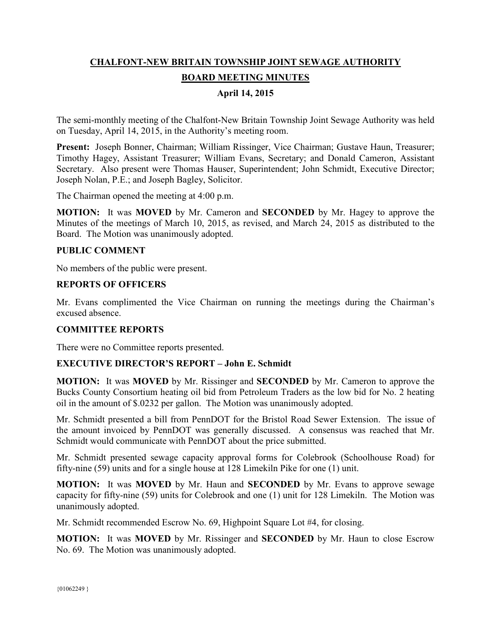# **CHALFONT-NEW BRITAIN TOWNSHIP JOINT SEWAGE AUTHORITY BOARD MEETING MINUTES**

# **April 14, 2015**

The semi-monthly meeting of the Chalfont-New Britain Township Joint Sewage Authority was held on Tuesday, April 14, 2015, in the Authority's meeting room.

**Present:** Joseph Bonner, Chairman; William Rissinger, Vice Chairman; Gustave Haun, Treasurer; Timothy Hagey, Assistant Treasurer; William Evans, Secretary; and Donald Cameron, Assistant Secretary. Also present were Thomas Hauser, Superintendent; John Schmidt, Executive Director; Joseph Nolan, P.E.; and Joseph Bagley, Solicitor.

The Chairman opened the meeting at 4:00 p.m.

**MOTION:** It was **MOVED** by Mr. Cameron and **SECONDED** by Mr. Hagey to approve the Minutes of the meetings of March 10, 2015, as revised, and March 24, 2015 as distributed to the Board. The Motion was unanimously adopted.

#### **PUBLIC COMMENT**

No members of the public were present.

## **REPORTS OF OFFICERS**

Mr. Evans complimented the Vice Chairman on running the meetings during the Chairman's excused absence.

#### **COMMITTEE REPORTS**

There were no Committee reports presented.

#### **EXECUTIVE DIRECTOR'S REPORT – John E. Schmidt**

**MOTION:** It was **MOVED** by Mr. Rissinger and **SECONDED** by Mr. Cameron to approve the Bucks County Consortium heating oil bid from Petroleum Traders as the low bid for No. 2 heating oil in the amount of \$.0232 per gallon. The Motion was unanimously adopted.

Mr. Schmidt presented a bill from PennDOT for the Bristol Road Sewer Extension. The issue of the amount invoiced by PennDOT was generally discussed. A consensus was reached that Mr. Schmidt would communicate with PennDOT about the price submitted.

Mr. Schmidt presented sewage capacity approval forms for Colebrook (Schoolhouse Road) for fifty-nine (59) units and for a single house at 128 Limekiln Pike for one (1) unit.

**MOTION:** It was **MOVED** by Mr. Haun and **SECONDED** by Mr. Evans to approve sewage capacity for fifty-nine (59) units for Colebrook and one (1) unit for 128 Limekiln. The Motion was unanimously adopted.

Mr. Schmidt recommended Escrow No. 69, Highpoint Square Lot #4, for closing.

**MOTION:** It was **MOVED** by Mr. Rissinger and **SECONDED** by Mr. Haun to close Escrow No. 69. The Motion was unanimously adopted.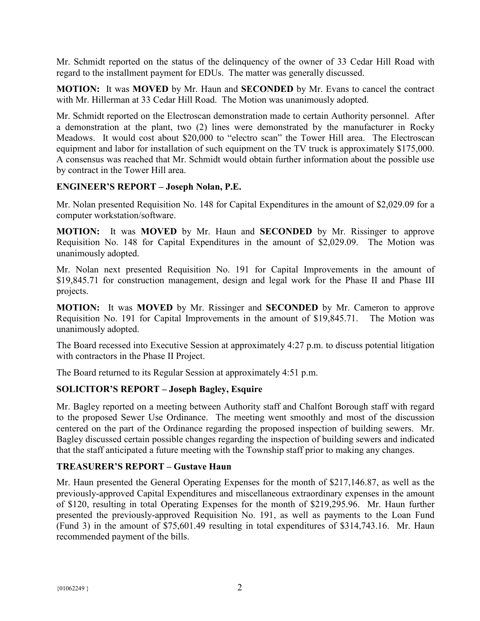Mr. Schmidt reported on the status of the delinquency of the owner of 33 Cedar Hill Road with regard to the installment payment for EDUs. The matter was generally discussed.

**MOTION:** It was **MOVED** by Mr. Haun and **SECONDED** by Mr. Evans to cancel the contract with Mr. Hillerman at 33 Cedar Hill Road. The Motion was unanimously adopted.

Mr. Schmidt reported on the Electroscan demonstration made to certain Authority personnel. After a demonstration at the plant, two (2) lines were demonstrated by the manufacturer in Rocky Meadows. It would cost about \$20,000 to "electro scan" the Tower Hill area. The Electroscan equipment and labor for installation of such equipment on the TV truck is approximately \$175,000. A consensus was reached that Mr. Schmidt would obtain further information about the possible use by contract in the Tower Hill area.

## **ENGINEER'S REPORT – Joseph Nolan, P.E.**

Mr. Nolan presented Requisition No. 148 for Capital Expenditures in the amount of \$2,029.09 for a computer workstation/software.

**MOTION:** It was **MOVED** by Mr. Haun and **SECONDED** by Mr. Rissinger to approve Requisition No. 148 for Capital Expenditures in the amount of \$2,029.09. The Motion was unanimously adopted.

Mr. Nolan next presented Requisition No. 191 for Capital Improvements in the amount of \$19,845.71 for construction management, design and legal work for the Phase II and Phase III projects.

**MOTION:** It was **MOVED** by Mr. Rissinger and **SECONDED** by Mr. Cameron to approve Requisition No. 191 for Capital Improvements in the amount of \$19,845.71. The Motion was unanimously adopted.

The Board recessed into Executive Session at approximately 4:27 p.m. to discuss potential litigation with contractors in the Phase II Project.

The Board returned to its Regular Session at approximately 4:51 p.m.

## **SOLICITOR'S REPORT – Joseph Bagley, Esquire**

Mr. Bagley reported on a meeting between Authority staff and Chalfont Borough staff with regard to the proposed Sewer Use Ordinance. The meeting went smoothly and most of the discussion centered on the part of the Ordinance regarding the proposed inspection of building sewers. Mr. Bagley discussed certain possible changes regarding the inspection of building sewers and indicated that the staff anticipated a future meeting with the Township staff prior to making any changes.

## **TREASURER'S REPORT – Gustave Haun**

Mr. Haun presented the General Operating Expenses for the month of \$217,146.87, as well as the previously-approved Capital Expenditures and miscellaneous extraordinary expenses in the amount of \$120, resulting in total Operating Expenses for the month of \$219,295.96. Mr. Haun further presented the previously-approved Requisition No. 191, as well as payments to the Loan Fund (Fund 3) in the amount of \$75,601.49 resulting in total expenditures of \$314,743.16. Mr. Haun recommended payment of the bills.